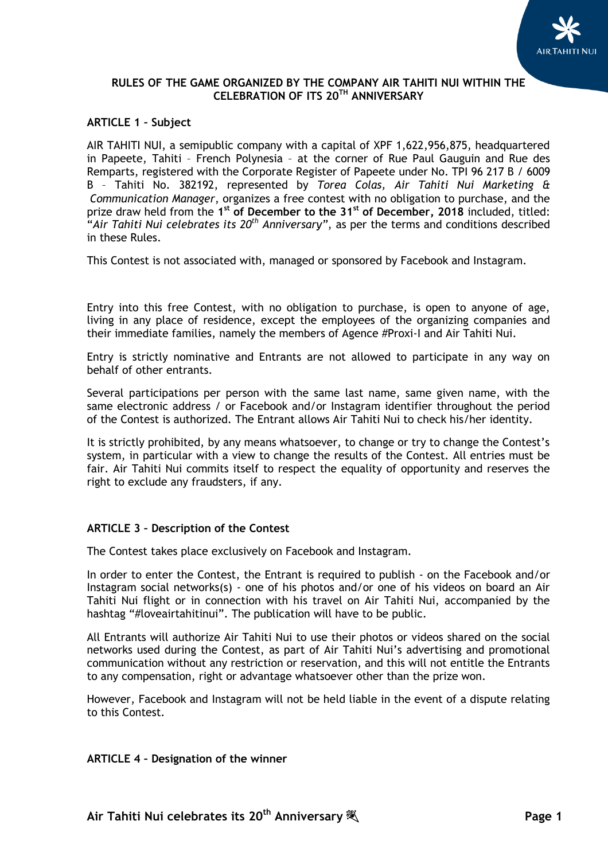

### **ARTICLE 1 – Subject**

AIR TAHITI NUI, a semipublic company with a capital of XPF 1,622,956,875, headquartered in Papeete, Tahiti – French Polynesia – at the corner of Rue Paul Gauguin and Rue des Remparts, registered with the Corporate Register of Papeete under No. TPI 96 217 B / 6009 B – Tahiti No. 382192, represented by *Torea Colas, Air Tahiti Nui Marketing & Communication Manager*, organizes a free contest with no obligation to purchase, and the prize draw held from the **1 st of December to the 31st of December, 2018** included, titled: "*Air Tahiti Nui celebrates its 20th Anniversary"*, as per the terms and conditions described in these Rules.

This Contest is not associated with, managed or sponsored by Facebook and Instagram.

Entry into this free Contest, with no obligation to purchase, is open to anyone of age, living in any place of residence, except the employees of the organizing companies and their immediate families, namely the members of Agence #Proxi-I and Air Tahiti Nui.

Entry is strictly nominative and Entrants are not allowed to participate in any way on behalf of other entrants.

Several participations per person with the same last name, same given name, with the same electronic address / or Facebook and/or Instagram identifier throughout the period of the Contest is authorized. The Entrant allows Air Tahiti Nui to check his/her identity.

It is strictly prohibited, by any means whatsoever, to change or try to change the Contest's system, in particular with a view to change the results of the Contest. All entries must be fair. Air Tahiti Nui commits itself to respect the equality of opportunity and reserves the right to exclude any fraudsters, if any.

### **ARTICLE 3 – Description of the Contest**

The Contest takes place exclusively on Facebook and Instagram.

In order to enter the Contest, the Entrant is required to publish - on the Facebook and/or Instagram social networks(s) - one of his photos and/or one of his videos on board an Air Tahiti Nui flight or in connection with his travel on Air Tahiti Nui, accompanied by the hashtag "#loveairtahitinui". The publication will have to be public.

All Entrants will authorize Air Tahiti Nui to use their photos or videos shared on the social networks used during the Contest, as part of Air Tahiti Nui's advertising and promotional communication without any restriction or reservation, and this will not entitle the Entrants to any compensation, right or advantage whatsoever other than the prize won.

However, Facebook and Instagram will not be held liable in the event of a dispute relating to this Contest.

#### **ARTICLE 4 – Designation of the winner**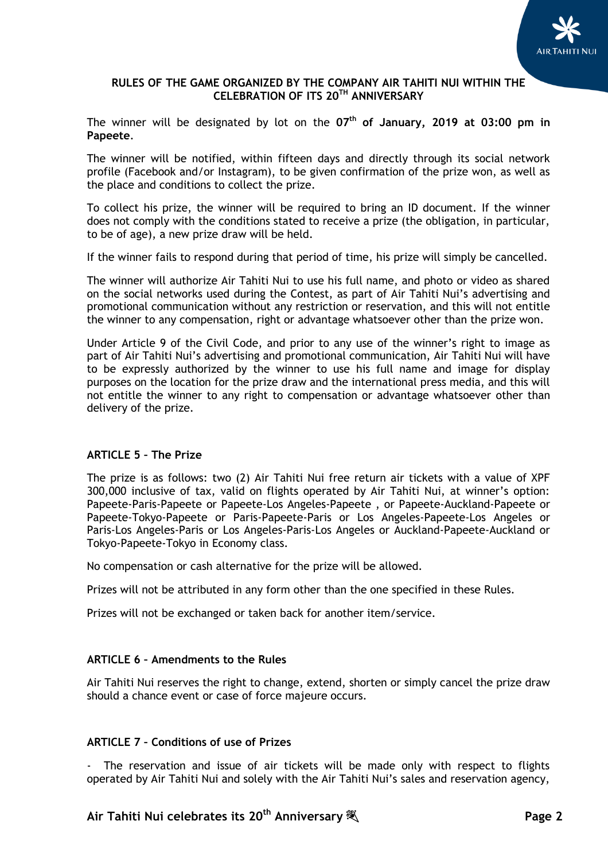

The winner will be designated by lot on the **07 th of January, 2019 at 03:00 pm in Papeete**.

The winner will be notified, within fifteen days and directly through its social network profile (Facebook and/or Instagram), to be given confirmation of the prize won, as well as the place and conditions to collect the prize.

To collect his prize, the winner will be required to bring an ID document. If the winner does not comply with the conditions stated to receive a prize (the obligation, in particular, to be of age), a new prize draw will be held.

If the winner fails to respond during that period of time, his prize will simply be cancelled.

The winner will authorize Air Tahiti Nui to use his full name, and photo or video as shared on the social networks used during the Contest, as part of Air Tahiti Nui's advertising and promotional communication without any restriction or reservation, and this will not entitle the winner to any compensation, right or advantage whatsoever other than the prize won.

Under Article 9 of the Civil Code, and prior to any use of the winner's right to image as part of Air Tahiti Nui's advertising and promotional communication, Air Tahiti Nui will have to be expressly authorized by the winner to use his full name and image for display purposes on the location for the prize draw and the international press media, and this will not entitle the winner to any right to compensation or advantage whatsoever other than delivery of the prize.

### **ARTICLE 5 – The Prize**

The prize is as follows: two (2) Air Tahiti Nui free return air tickets with a value of XPF 300,000 inclusive of tax, valid on flights operated by Air Tahiti Nui, at winner's option: Papeete-Paris-Papeete or Papeete-Los Angeles-Papeete , or Papeete-Auckland-Papeete or Papeete-Tokyo-Papeete or Paris-Papeete-Paris or Los Angeles-Papeete-Los Angeles or Paris-Los Angeles-Paris or Los Angeles-Paris-Los Angeles or Auckland-Papeete-Auckland or Tokyo-Papeete-Tokyo in Economy class.

No compensation or cash alternative for the prize will be allowed.

Prizes will not be attributed in any form other than the one specified in these Rules.

Prizes will not be exchanged or taken back for another item/service.

### **ARTICLE 6 – Amendments to the Rules**

Air Tahiti Nui reserves the right to change, extend, shorten or simply cancel the prize draw should a chance event or case of force majeure occurs.

### **ARTICLE 7 – Conditions of use of Prizes**

The reservation and issue of air tickets will be made only with respect to flights operated by Air Tahiti Nui and solely with the Air Tahiti Nui's sales and reservation agency,

# **Air Tahiti Nui celebrates its 20th Anniversary Page 2**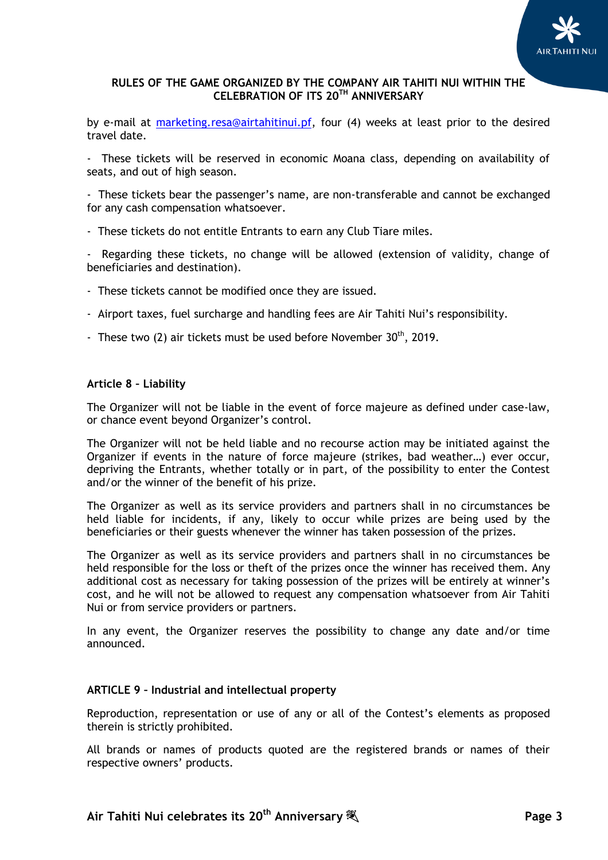

by e-mail at [marketing.resa@airtahitinui.pf,](mailto:marketing.resa@airtahitinui.pf) four (4) weeks at least prior to the desired travel date.

- These tickets will be reserved in economic Moana class, depending on availability of seats, and out of high season.

- These tickets bear the passenger's name, are non-transferable and cannot be exchanged for any cash compensation whatsoever.

- These tickets do not entitle Entrants to earn any Club Tiare miles.

Regarding these tickets, no change will be allowed (extension of validity, change of beneficiaries and destination).

- These tickets cannot be modified once they are issued.
- Airport taxes, fuel surcharge and handling fees are Air Tahiti Nui's responsibility.
- These two (2) air tickets must be used before November  $30<sup>th</sup>$ , 2019.

#### **Article 8 – Liability**

The Organizer will not be liable in the event of force majeure as defined under case-law, or chance event beyond Organizer's control.

The Organizer will not be held liable and no recourse action may be initiated against the Organizer if events in the nature of force majeure (strikes, bad weather…) ever occur, depriving the Entrants, whether totally or in part, of the possibility to enter the Contest and/or the winner of the benefit of his prize.

The Organizer as well as its service providers and partners shall in no circumstances be held liable for incidents, if any, likely to occur while prizes are being used by the beneficiaries or their guests whenever the winner has taken possession of the prizes.

The Organizer as well as its service providers and partners shall in no circumstances be held responsible for the loss or theft of the prizes once the winner has received them. Any additional cost as necessary for taking possession of the prizes will be entirely at winner's cost, and he will not be allowed to request any compensation whatsoever from Air Tahiti Nui or from service providers or partners.

In any event, the Organizer reserves the possibility to change any date and/or time announced.

#### **ARTICLE 9 – Industrial and intellectual property**

Reproduction, representation or use of any or all of the Contest's elements as proposed therein is strictly prohibited.

All brands or names of products quoted are the registered brands or names of their respective owners' products.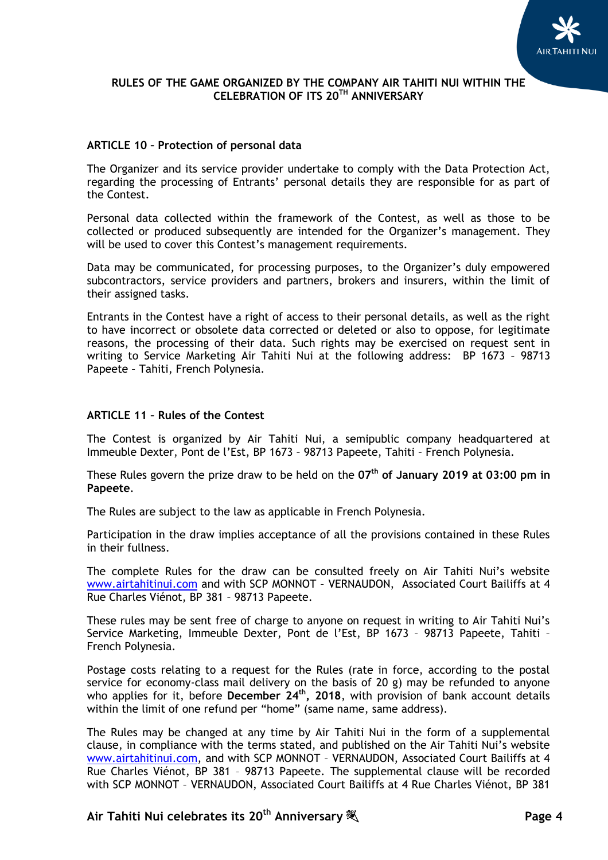

### **ARTICLE 10 – Protection of personal data**

The Organizer and its service provider undertake to comply with the Data Protection Act, regarding the processing of Entrants' personal details they are responsible for as part of the Contest.

Personal data collected within the framework of the Contest, as well as those to be collected or produced subsequently are intended for the Organizer's management. They will be used to cover this Contest's management requirements.

Data may be communicated, for processing purposes, to the Organizer's duly empowered subcontractors, service providers and partners, brokers and insurers, within the limit of their assigned tasks.

Entrants in the Contest have a right of access to their personal details, as well as the right to have incorrect or obsolete data corrected or deleted or also to oppose, for legitimate reasons, the processing of their data. Such rights may be exercised on request sent in writing to Service Marketing Air Tahiti Nui at the following address: BP 1673 – 98713 Papeete – Tahiti, French Polynesia.

## **ARTICLE 11 – Rules of the Contest**

The Contest is organized by Air Tahiti Nui, a semipublic company headquartered at Immeuble Dexter, Pont de l'Est, BP 1673 – 98713 Papeete, Tahiti – French Polynesia.

These Rules govern the prize draw to be held on the **07 th of January 2019 at 03:00 pm in Papeete**.

The Rules are subject to the law as applicable in French Polynesia.

Participation in the draw implies acceptance of all the provisions contained in these Rules in their fullness.

The complete Rules for the draw can be consulted freely on Air Tahiti Nui's website [www.airtahitinui.com](http://www.airtahitinui.com/) and with SCP MONNOT – VERNAUDON, Associated Court Bailiffs at 4 Rue Charles Viénot, BP 381 – 98713 Papeete.

These rules may be sent free of charge to anyone on request in writing to Air Tahiti Nui's Service Marketing, Immeuble Dexter, Pont de l'Est, BP 1673 – 98713 Papeete, Tahiti – French Polynesia.

Postage costs relating to a request for the Rules (rate in force, according to the postal service for economy-class mail delivery on the basis of 20 g) may be refunded to anyone who applies for it, before **December 24th, 2018**, with provision of bank account details within the limit of one refund per "home" (same name, same address).

The Rules may be changed at any time by Air Tahiti Nui in the form of a supplemental clause, in compliance with the terms stated, and published on the Air Tahiti Nui's website [www.airtahitinui.com,](http://www.airtahitinui.com/) and with SCP MONNOT – VERNAUDON, Associated Court Bailiffs at 4 Rue Charles Viénot, BP 381 – 98713 Papeete. The supplemental clause will be recorded with SCP MONNOT – VERNAUDON, Associated Court Bailiffs at 4 Rue Charles Viénot, BP 381

# **Air Tahiti Nui celebrates its 20th Anniversary Page 4**